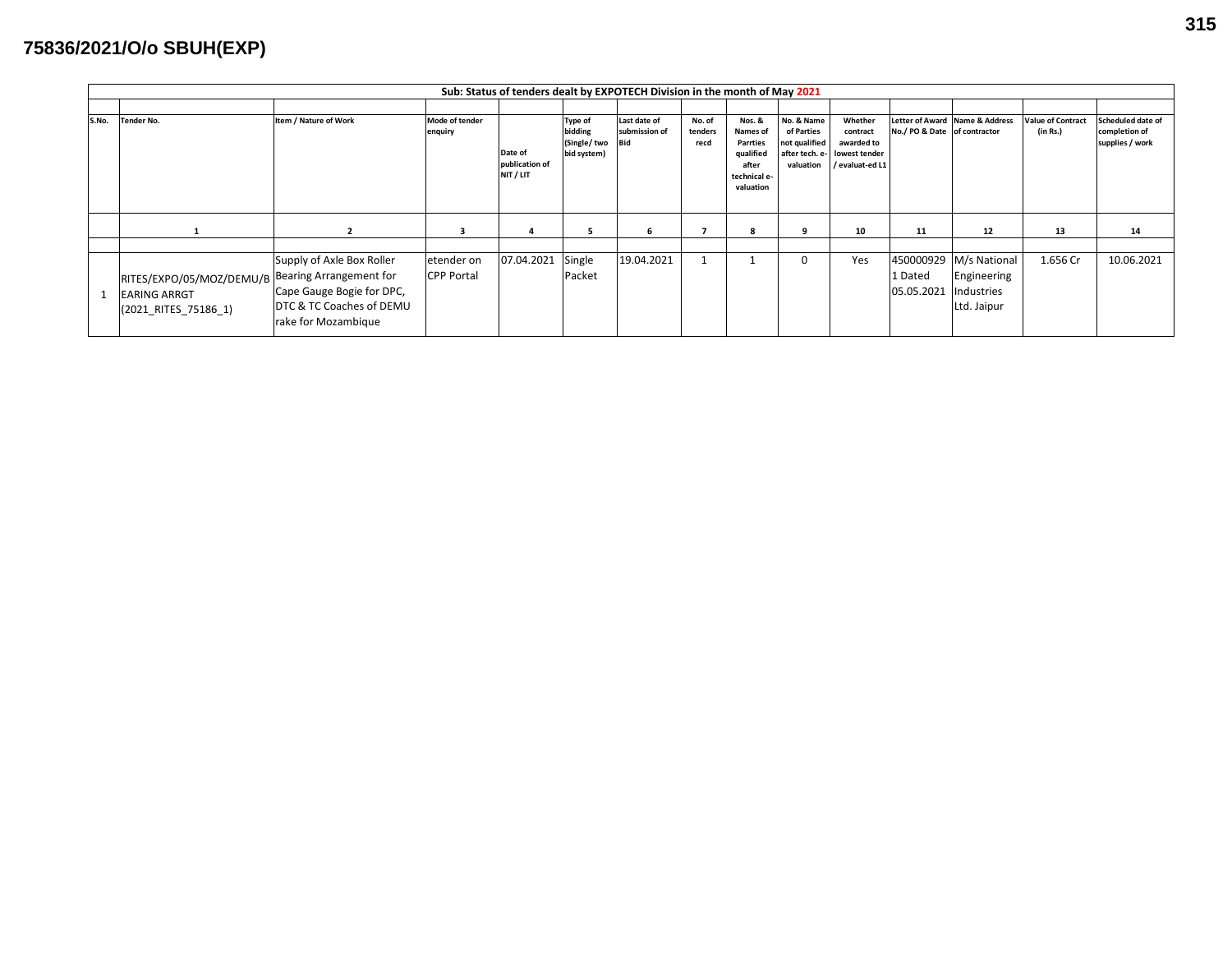## **75836/2021/O/o SBUH(EXP)**

|       | Sub: Status of tenders dealt by EXPOTECH Division in the month of May 2021                      |                                                                                                           |                                 |                                        |                                                         |                                             |                           |                                                                                          |                                                        |                                                                                      |                                    |                                                          |                                      |                                                       |
|-------|-------------------------------------------------------------------------------------------------|-----------------------------------------------------------------------------------------------------------|---------------------------------|----------------------------------------|---------------------------------------------------------|---------------------------------------------|---------------------------|------------------------------------------------------------------------------------------|--------------------------------------------------------|--------------------------------------------------------------------------------------|------------------------------------|----------------------------------------------------------|--------------------------------------|-------------------------------------------------------|
|       |                                                                                                 |                                                                                                           |                                 |                                        |                                                         |                                             |                           |                                                                                          |                                                        |                                                                                      |                                    |                                                          |                                      |                                                       |
| S.No. | <b>Tender No.</b>                                                                               | Item / Nature of Work                                                                                     | Mode of tender<br>enquiry       | Date of<br>publication of<br>NIT / LIT | <b>Type of</b><br>bidding<br>(Single/two<br>bid system) | Last date of<br>submission of<br><b>Bid</b> | No. of<br>tenders<br>recd | Nos. &<br>Names of<br><b>Parrties</b><br>qualified<br>after<br>technical e-<br>valuation | No. & Name<br>of Parties<br>not qualified<br>valuation | Whether<br>contract<br>awarded to<br>after tech. e- lowest tender<br>/ evaluat-ed L1 | No./ PO & Date of contractor       | etter of Award Name & Address                            | <b>Value of Contract</b><br>(in Rs.) | Scheduled date of<br>completion of<br>supplies / work |
|       |                                                                                                 |                                                                                                           | 3                               | 4                                      | 5                                                       | -6                                          |                           |                                                                                          | 9                                                      | 10                                                                                   | 11                                 | 12                                                       | 13                                   | 14                                                    |
|       | RITES/EXPO/05/MOZ/DEMU/B Bearing Arrangement for<br><b>EARING ARRGT</b><br>(2021 RITES 75186 1) | Supply of Axle Box Roller<br>Cape Gauge Bogie for DPC,<br>DTC & TC Coaches of DEMU<br>rake for Mozambique | etender on<br><b>CPP Portal</b> | 07.04.2021                             | Single<br>Packet                                        | 19.04.2021                                  |                           |                                                                                          |                                                        | Yes                                                                                  | 450000929<br>1 Dated<br>05.05.2021 | M/s National<br>Engineering<br>Industries<br>Ltd. Jaipur | 1.656 Cr                             | 10.06.2021                                            |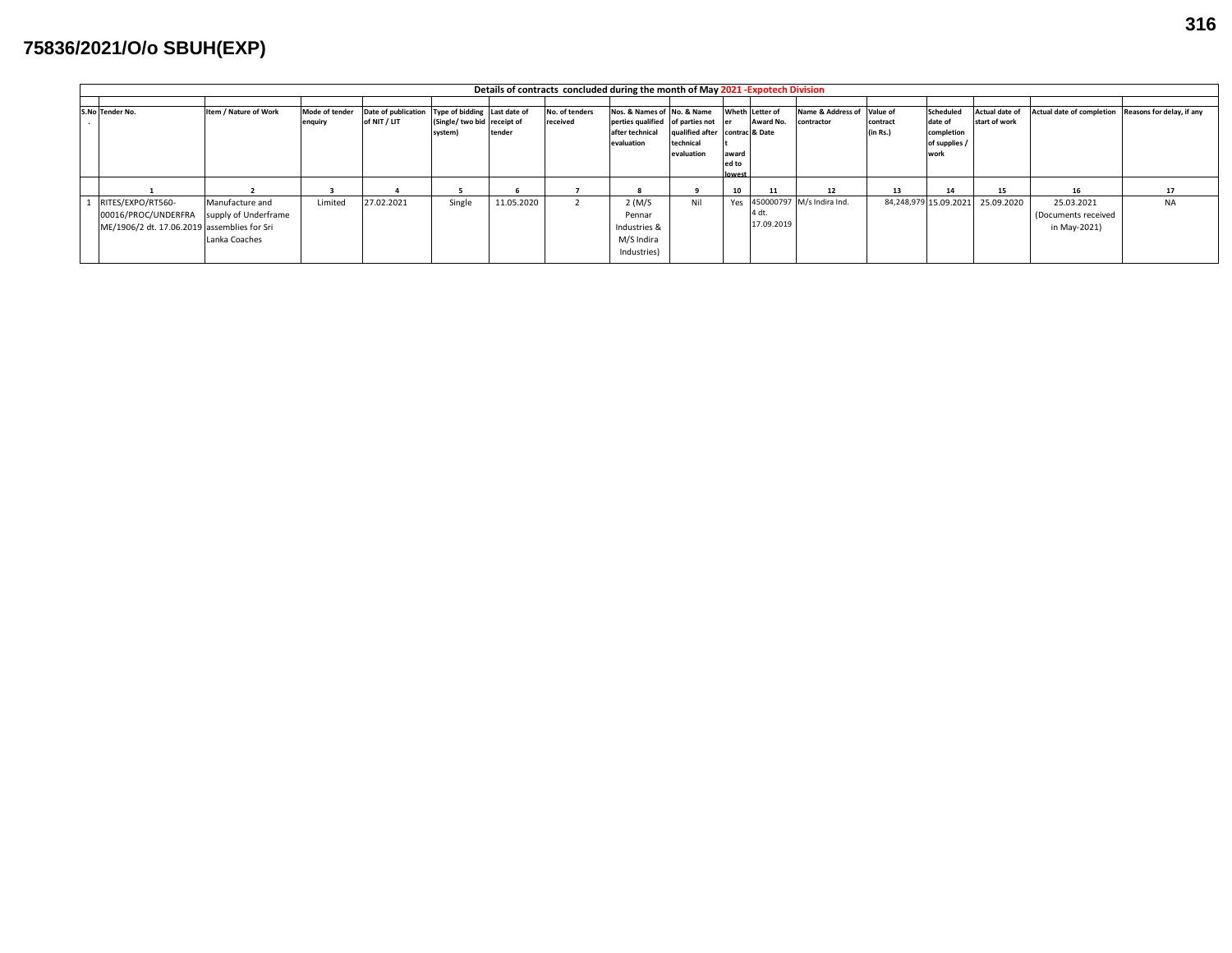## **75836/2021/O/o SBUH(EXP)**

| Details of contracts concluded during the month of May 2021 - Expotech Division |                       |                |                                                  |                             |            |                |                                  |                                |        |                 |                               |          |                       |                |                                                     |           |
|---------------------------------------------------------------------------------|-----------------------|----------------|--------------------------------------------------|-----------------------------|------------|----------------|----------------------------------|--------------------------------|--------|-----------------|-------------------------------|----------|-----------------------|----------------|-----------------------------------------------------|-----------|
|                                                                                 |                       |                |                                                  |                             |            |                |                                  |                                |        |                 |                               |          |                       |                |                                                     |           |
| S.No Tender No.                                                                 | Item / Nature of Work | Mode of tender | Date of publication Type of bidding Last date of |                             |            | No. of tenders | Nos. & Names of No. & Name       |                                |        | Wheth Letter of | Name & Address of Value of    |          | Scheduled             | Actual date of | Actual date of completion Reasons for delay, if any |           |
|                                                                                 |                       | enquiry        | of NIT / LIT                                     | (Single/ two bid receipt of |            | received       | perties qualified of parties not |                                |        | Award No.       | contractor                    | contract | date of               | start of work  |                                                     |           |
|                                                                                 |                       |                |                                                  | system)                     | tender     |                | after technical                  | qualified after contrac & Date |        |                 |                               | (in Rs.) | completion            |                |                                                     |           |
|                                                                                 |                       |                |                                                  |                             |            |                | evaluation                       | technical                      |        |                 |                               |          | of supplies           |                |                                                     |           |
|                                                                                 |                       |                |                                                  |                             |            |                |                                  | evaluation                     | award  |                 |                               |          | work                  |                |                                                     |           |
|                                                                                 |                       |                |                                                  |                             |            |                |                                  |                                | ed to  |                 |                               |          |                       |                |                                                     |           |
|                                                                                 |                       |                |                                                  |                             |            |                |                                  |                                | lowest |                 |                               |          |                       |                |                                                     |           |
|                                                                                 |                       |                |                                                  |                             |            |                |                                  |                                | 10     | 11              | 12                            | 13       | 14                    | 15             | 16                                                  | 17        |
| RITES/EXPO/RT560-                                                               | Manufacture and       | Limited        | 27.02.2021                                       | Single                      | 11.05.2020 |                | $2$ (M/S                         | Nil                            |        |                 | Yes 450000797 M/s Indira Ind. |          | 84,248,979 15.09.2021 | 25.09.2020     | 25.03.2021                                          | <b>NA</b> |
| 00016/PROC/UNDERFRA                                                             | supply of Underframe  |                |                                                  |                             |            |                | Pennar                           |                                |        | 4 dt.           |                               |          |                       |                | (Documents received                                 |           |
| ME/1906/2 dt. 17.06.2019 assemblies for Sri                                     |                       |                |                                                  |                             |            |                | Industries &                     |                                |        | 17.09.2019      |                               |          |                       |                | in May-2021)                                        |           |
|                                                                                 | Lanka Coaches         |                |                                                  |                             |            |                | M/S Indira                       |                                |        |                 |                               |          |                       |                |                                                     |           |
|                                                                                 |                       |                |                                                  |                             |            |                | Industries)                      |                                |        |                 |                               |          |                       |                |                                                     |           |
|                                                                                 |                       |                |                                                  |                             |            |                |                                  |                                |        |                 |                               |          |                       |                |                                                     |           |